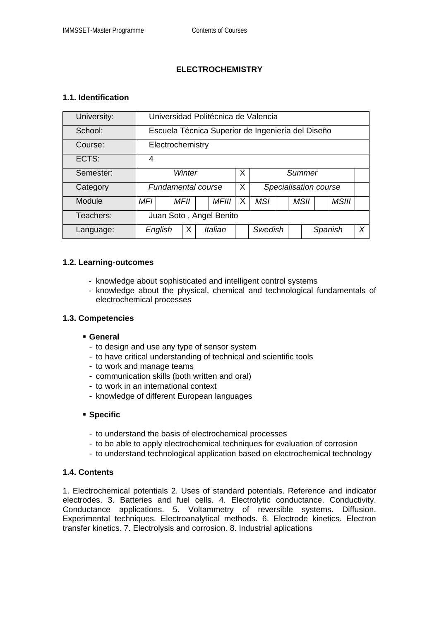# **ELECTROCHEMISTRY**

## **1.1. Identification**

| University: | Universidad Politécnica de Valencia               |  |             |  |              |         |                       |  |  |         |  |       |  |  |
|-------------|---------------------------------------------------|--|-------------|--|--------------|---------|-----------------------|--|--|---------|--|-------|--|--|
| School:     | Escuela Técnica Superior de Ingeniería del Diseño |  |             |  |              |         |                       |  |  |         |  |       |  |  |
| Course:     | Electrochemistry                                  |  |             |  |              |         |                       |  |  |         |  |       |  |  |
| ECTS:       | 4                                                 |  |             |  |              |         |                       |  |  |         |  |       |  |  |
| Semester:   | Winter                                            |  |             |  |              |         | Summer                |  |  |         |  |       |  |  |
| Category    | Fundamental course                                |  |             |  |              | X       | Specialisation course |  |  |         |  |       |  |  |
| Module      | MFI                                               |  | <b>MFII</b> |  | <b>MFIII</b> | X       | <b>MSI</b>            |  |  | MSII    |  | MSIII |  |  |
| Teachers:   | Juan Soto, Angel Benito                           |  |             |  |              |         |                       |  |  |         |  |       |  |  |
| Language:   | English                                           |  | Х           |  | Italian      | Swedish |                       |  |  | Spanish |  | X     |  |  |

#### **1.2. Learning-outcomes**

- knowledge about sophisticated and intelligent control systems
- knowledge about the physical, chemical and technological fundamentals of electrochemical processes

#### **1.3. Competencies**

#### **General**

- to design and use any type of sensor system
- to have critical understanding of technical and scientific tools
- to work and manage teams
- communication skills (both written and oral)
- to work in an international context
- knowledge of different European languages

## **Specific**

- to understand the basis of electrochemical processes
- to be able to apply electrochemical techniques for evaluation of corrosion
- to understand technological application based on electrochemical technology

#### **1.4. Contents**

1. Electrochemical potentials 2. Uses of standard potentials. Reference and indicator electrodes. 3. Batteries and fuel cells. 4. Electrolytic conductance. Conductivity. Conductance applications. 5. Voltammetry of reversible systems. Diffusion. Experimental techniques. Electroanalytical methods. 6. Electrode kinetics. Electron transfer kinetics. 7. Electrolysis and corrosion. 8. Industrial aplications